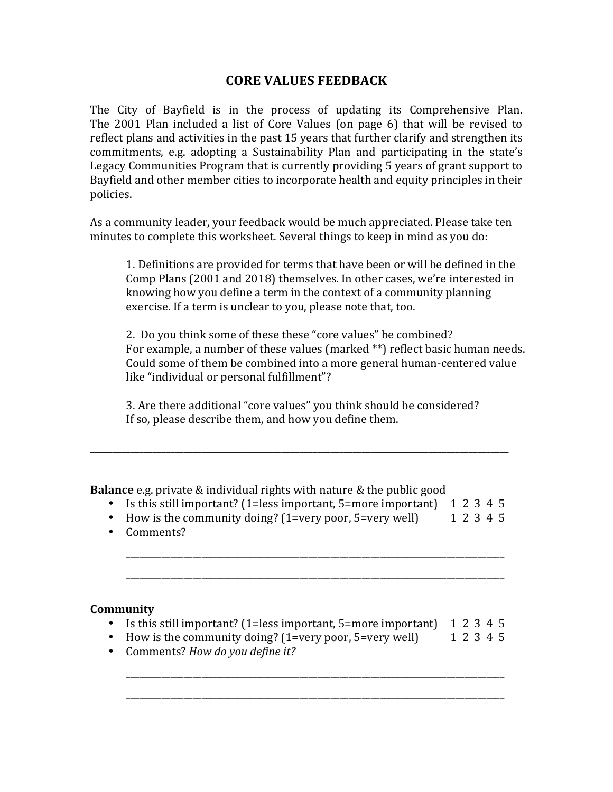# **CORE VALUES FEEDBACK**

The City of Bayfield is in the process of updating its Comprehensive Plan. The 2001 Plan included a list of Core Values (on page 6) that will be revised to reflect plans and activities in the past 15 years that further clarify and strengthen its commitments, e.g. adopting a Sustainability Plan and participating in the state's Legacy Communities Program that is currently providing 5 years of grant support to Bayfield and other member cities to incorporate health and equity principles in their policies. 

As a community leader, your feedback would be much appreciated. Please take ten minutes to complete this worksheet. Several things to keep in mind as you do:

1. Definitions are provided for terms that have been or will be defined in the Comp Plans (2001 and 2018) themselves. In other cases, we're interested in knowing how you define a term in the context of a community planning exercise. If a term is unclear to you, please note that, too.

2. Do you think some of these these "core values" be combined? For example, a number of these values (marked \*\*) reflect basic human needs. Could some of them be combined into a more general human-centered value like "individual or personal fulfillment"?

3. Are there additional "core values" you think should be considered? If so, please describe them, and how you define them.

**\_\_\_\_\_\_\_\_\_\_\_\_\_\_\_\_\_\_\_\_\_\_\_\_\_\_\_\_\_\_\_\_\_\_\_\_\_\_\_\_\_\_\_\_\_\_\_\_\_\_\_\_\_\_\_\_\_\_\_\_\_\_\_\_\_\_\_\_\_\_\_\_\_\_\_\_\_\_\_\_\_\_\_\_\_\_\_\_\_\_\_\_\_\_**

**Balance** e.g. private & individual rights with nature & the public good

- Is this still important? (1=less important, 5=more important)  $\quad$  1 2 3 4 5
- How is the community doing?  $(1=very\ poor, 5=very\ well)$  1 2 3 4 5

\_\_\_\_\_\_\_\_\_\_\_\_\_\_\_\_\_\_\_\_\_\_\_\_\_\_\_\_\_\_\_\_\_\_\_\_\_\_\_\_\_\_\_\_\_\_\_\_\_\_\_\_\_\_\_\_\_\_\_\_\_\_\_\_\_\_\_\_\_\_\_\_\_\_\_\_\_\_\_\_\_\_\_\_\_

\_\_\_\_\_\_\_\_\_\_\_\_\_\_\_\_\_\_\_\_\_\_\_\_\_\_\_\_\_\_\_\_\_\_\_\_\_\_\_\_\_\_\_\_\_\_\_\_\_\_\_\_\_\_\_\_\_\_\_\_\_\_\_\_\_\_\_\_\_\_\_\_\_\_\_\_\_\_\_\_\_\_\_\_\_

• Comments?

#### **Community**

• Is this still important? (1=less important, 5=more important)  $\quad$  1 2 3 4 5

\_\_\_\_\_\_\_\_\_\_\_\_\_\_\_\_\_\_\_\_\_\_\_\_\_\_\_\_\_\_\_\_\_\_\_\_\_\_\_\_\_\_\_\_\_\_\_\_\_\_\_\_\_\_\_\_\_\_\_\_\_\_\_\_\_\_\_\_\_\_\_\_\_\_\_\_\_\_\_\_\_\_\_\_\_

\_\_\_\_\_\_\_\_\_\_\_\_\_\_\_\_\_\_\_\_\_\_\_\_\_\_\_\_\_\_\_\_\_\_\_\_\_\_\_\_\_\_\_\_\_\_\_\_\_\_\_\_\_\_\_\_\_\_\_\_\_\_\_\_\_\_\_\_\_\_\_\_\_\_\_\_\_\_\_\_\_\_\_\_\_

- How is the community doing? (1=very poor, 5=very well) 1 2 3 4 5
- Comments? *How do you define it?*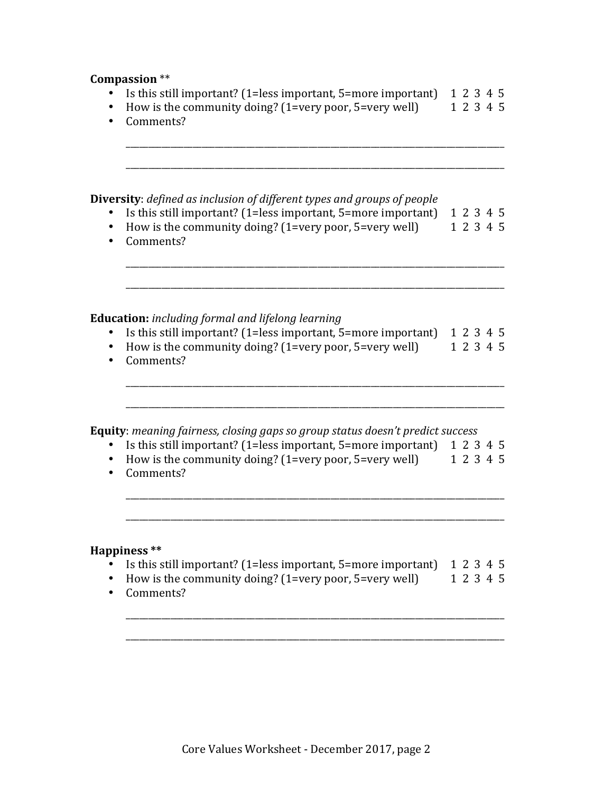#### **Compassion** \*\*

- Is this still important? (1=less important, 5=more important)  $\quad$  1 2 3 4 5
- How is the community doing?  $(1=$ very poor, 5=very well) 1 2 3 4 5

\_\_\_\_\_\_\_\_\_\_\_\_\_\_\_\_\_\_\_\_\_\_\_\_\_\_\_\_\_\_\_\_\_\_\_\_\_\_\_\_\_\_\_\_\_\_\_\_\_\_\_\_\_\_\_\_\_\_\_\_\_\_\_\_\_\_\_\_\_\_\_\_\_\_\_\_\_\_\_\_\_\_\_\_\_

\_\_\_\_\_\_\_\_\_\_\_\_\_\_\_\_\_\_\_\_\_\_\_\_\_\_\_\_\_\_\_\_\_\_\_\_\_\_\_\_\_\_\_\_\_\_\_\_\_\_\_\_\_\_\_\_\_\_\_\_\_\_\_\_\_\_\_\_\_\_\_\_\_\_\_\_\_\_\_\_\_\_\_\_\_

• Comments?

**Diversity**: *defined as inclusion of different types and groups of people* 

- Is this still important? (1=less important, 5=more important)  $\quad 1 \; 2 \; 3 \; 4 \; 5$
- How is the community doing?  $(1=very\ poor, 5=very\ well)$  1 2 3 4 5

\_\_\_\_\_\_\_\_\_\_\_\_\_\_\_\_\_\_\_\_\_\_\_\_\_\_\_\_\_\_\_\_\_\_\_\_\_\_\_\_\_\_\_\_\_\_\_\_\_\_\_\_\_\_\_\_\_\_\_\_\_\_\_\_\_\_\_\_\_\_\_\_\_\_\_\_\_\_\_\_\_\_\_\_\_

\_\_\_\_\_\_\_\_\_\_\_\_\_\_\_\_\_\_\_\_\_\_\_\_\_\_\_\_\_\_\_\_\_\_\_\_\_\_\_\_\_\_\_\_\_\_\_\_\_\_\_\_\_\_\_\_\_\_\_\_\_\_\_\_\_\_\_\_\_\_\_\_\_\_\_\_\_\_\_\_\_\_\_\_\_

• Comments?

## **Education:** *including formal and lifelong learning*

- Is this still important? (1=less important, 5=more important)  $1\ 2\ 3\ 4\ 5$
- How is the community doing?  $(1=very\ poor, 5=very\ well)$  1 2 3 4 5

\_\_\_\_\_\_\_\_\_\_\_\_\_\_\_\_\_\_\_\_\_\_\_\_\_\_\_\_\_\_\_\_\_\_\_\_\_\_\_\_\_\_\_\_\_\_\_\_\_\_\_\_\_\_\_\_\_\_\_\_\_\_\_\_\_\_\_\_\_\_\_\_\_\_\_\_\_\_\_\_\_\_\_\_\_

\_\_\_\_\_\_\_\_\_\_\_\_\_\_\_\_\_\_\_\_\_\_\_\_\_\_\_\_\_\_\_\_\_\_\_\_\_\_\_\_\_\_\_\_\_\_\_\_\_\_\_\_\_\_\_\_\_\_\_\_\_\_\_\_\_\_\_\_\_\_\_\_\_\_\_\_\_\_\_\_\_\_\_\_\_

• Comments?

**Equity**: *meaning fairness, closing gaps so group status doesn't predict success* 

- Is this still important? (1=less important, 5=more important)  $12345$
- How is the community doing? (1=very poor, 5=very well) 1 2 3 4 5

\_\_\_\_\_\_\_\_\_\_\_\_\_\_\_\_\_\_\_\_\_\_\_\_\_\_\_\_\_\_\_\_\_\_\_\_\_\_\_\_\_\_\_\_\_\_\_\_\_\_\_\_\_\_\_\_\_\_\_\_\_\_\_\_\_\_\_\_\_\_\_\_\_\_\_\_\_\_\_\_\_\_\_\_\_

\_\_\_\_\_\_\_\_\_\_\_\_\_\_\_\_\_\_\_\_\_\_\_\_\_\_\_\_\_\_\_\_\_\_\_\_\_\_\_\_\_\_\_\_\_\_\_\_\_\_\_\_\_\_\_\_\_\_\_\_\_\_\_\_\_\_\_\_\_\_\_\_\_\_\_\_\_\_\_\_\_\_\_\_\_

• Comments?

#### **Happiness \*\***

- Is this still important? (1=less important, 5=more important)  $\quad$  1 2 3 4 5
- How is the community doing?  $(1=very\ poor, 5=very\ well)$  1 2 3 4 5

\_\_\_\_\_\_\_\_\_\_\_\_\_\_\_\_\_\_\_\_\_\_\_\_\_\_\_\_\_\_\_\_\_\_\_\_\_\_\_\_\_\_\_\_\_\_\_\_\_\_\_\_\_\_\_\_\_\_\_\_\_\_\_\_\_\_\_\_\_\_\_\_\_\_\_\_\_\_\_\_\_\_\_\_\_

\_\_\_\_\_\_\_\_\_\_\_\_\_\_\_\_\_\_\_\_\_\_\_\_\_\_\_\_\_\_\_\_\_\_\_\_\_\_\_\_\_\_\_\_\_\_\_\_\_\_\_\_\_\_\_\_\_\_\_\_\_\_\_\_\_\_\_\_\_\_\_\_\_\_\_\_\_\_\_\_\_\_\_\_\_

• Comments?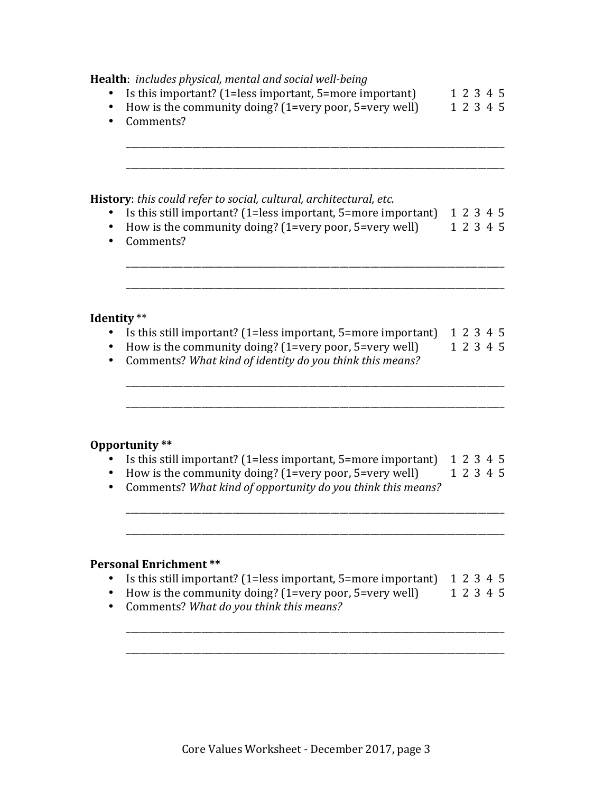| Health: includes physical, mental and social well-being<br>Is this important? (1=less important, 5=more important)<br>How is the community doing? (1=very poor, 5=very well)<br>Comments?                  |  | 1 2 3 4 5<br>1 2 3 4 5 |                        |
|------------------------------------------------------------------------------------------------------------------------------------------------------------------------------------------------------------|--|------------------------|------------------------|
| History: this could refer to social, cultural, architectural, etc.<br>Is this still important? (1=less important, 5=more important)<br>How is the community doing? (1=very poor, 5=very well)<br>Comments? |  | 1 2 3 4 5<br>1 2 3 4 5 |                        |
| Identity **<br>Is this still important? (1=less important, 5=more important)<br>How is the community doing? (1=very poor, 5=very well)<br>Comments? What kind of identity do you think this means?         |  |                        | 1 2 3 4 5<br>1 2 3 4 5 |
| Opportunity **<br>Is this still important? (1=less important, 5=more important)<br>How is the community doing? (1=very poor, 5=very well)<br>Comments? What kind of opportunity do you think this means?   |  |                        | 1 2 3 4 5<br>1 2 3 4 5 |
| <b>Personal Enrichment **</b><br>Is this still important? (1=less important, 5=more important)<br>How is the community doing? (1=very poor, 5=very well)<br>Comments? What do you think this means?        |  |                        | 1 2 3 4 5<br>1 2 3 4 5 |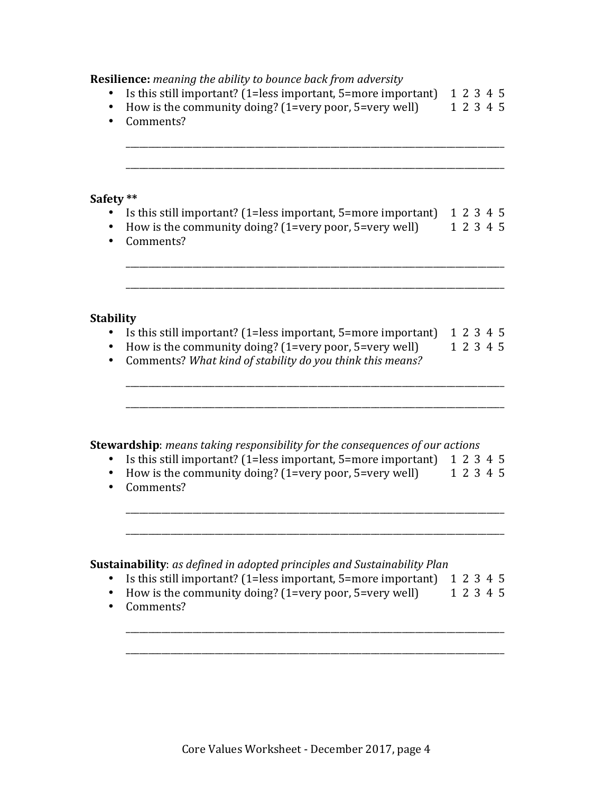#### **Resilience:** *meaning the ability to bounce back from adversity*

- Is this still important? (1=less important, 5=more important)  $\quad$  1 2 3 4 5
- How is the community doing?  $(1=$ very poor, 5=very well) 1 2 3 4 5

\_\_\_\_\_\_\_\_\_\_\_\_\_\_\_\_\_\_\_\_\_\_\_\_\_\_\_\_\_\_\_\_\_\_\_\_\_\_\_\_\_\_\_\_\_\_\_\_\_\_\_\_\_\_\_\_\_\_\_\_\_\_\_\_\_\_\_\_\_\_\_\_\_\_\_\_\_\_\_\_\_\_\_\_\_

\_\_\_\_\_\_\_\_\_\_\_\_\_\_\_\_\_\_\_\_\_\_\_\_\_\_\_\_\_\_\_\_\_\_\_\_\_\_\_\_\_\_\_\_\_\_\_\_\_\_\_\_\_\_\_\_\_\_\_\_\_\_\_\_\_\_\_\_\_\_\_\_\_\_\_\_\_\_\_\_\_\_\_\_\_

• Comments?

#### **Safety \*\***

- Is this still important? (1=less important, 5=more important)  $\quad$  1 2 3 4 5
- How is the community doing? (1=very poor, 5=very well) 1 2 3 4 5

\_\_\_\_\_\_\_\_\_\_\_\_\_\_\_\_\_\_\_\_\_\_\_\_\_\_\_\_\_\_\_\_\_\_\_\_\_\_\_\_\_\_\_\_\_\_\_\_\_\_\_\_\_\_\_\_\_\_\_\_\_\_\_\_\_\_\_\_\_\_\_\_\_\_\_\_\_\_\_\_\_\_\_\_\_

\_\_\_\_\_\_\_\_\_\_\_\_\_\_\_\_\_\_\_\_\_\_\_\_\_\_\_\_\_\_\_\_\_\_\_\_\_\_\_\_\_\_\_\_\_\_\_\_\_\_\_\_\_\_\_\_\_\_\_\_\_\_\_\_\_\_\_\_\_\_\_\_\_\_\_\_\_\_\_\_\_\_\_\_\_

• Comments?

### **Stability**

• Is this still important? (1=less important, 5=more important)  $\quad$  1 2 3 4 5

\_\_\_\_\_\_\_\_\_\_\_\_\_\_\_\_\_\_\_\_\_\_\_\_\_\_\_\_\_\_\_\_\_\_\_\_\_\_\_\_\_\_\_\_\_\_\_\_\_\_\_\_\_\_\_\_\_\_\_\_\_\_\_\_\_\_\_\_\_\_\_\_\_\_\_\_\_\_\_\_\_\_\_\_\_

\_\_\_\_\_\_\_\_\_\_\_\_\_\_\_\_\_\_\_\_\_\_\_\_\_\_\_\_\_\_\_\_\_\_\_\_\_\_\_\_\_\_\_\_\_\_\_\_\_\_\_\_\_\_\_\_\_\_\_\_\_\_\_\_\_\_\_\_\_\_\_\_\_\_\_\_\_\_\_\_\_\_\_\_\_

- How is the community doing?  $(1=very\ poor, 5=very\ well)$  1 2 3 4 5
- Comments? What kind of stability do you think this means?

## **Stewardship**: means taking responsibility for the consequences of our actions

- Is this still important? (1=less important, 5=more important)  $1\ 2\ 3\ 4\ 5$
- How is the community doing? (1=very poor, 5=very well) 1 2 3 4 5

\_\_\_\_\_\_\_\_\_\_\_\_\_\_\_\_\_\_\_\_\_\_\_\_\_\_\_\_\_\_\_\_\_\_\_\_\_\_\_\_\_\_\_\_\_\_\_\_\_\_\_\_\_\_\_\_\_\_\_\_\_\_\_\_\_\_\_\_\_\_\_\_\_\_\_\_\_\_\_\_\_\_\_\_\_

\_\_\_\_\_\_\_\_\_\_\_\_\_\_\_\_\_\_\_\_\_\_\_\_\_\_\_\_\_\_\_\_\_\_\_\_\_\_\_\_\_\_\_\_\_\_\_\_\_\_\_\_\_\_\_\_\_\_\_\_\_\_\_\_\_\_\_\_\_\_\_\_\_\_\_\_\_\_\_\_\_\_\_\_\_

• Comments?

**Sustainability**: as defined in adopted principles and Sustainability Plan

- Is this still important? (1=less important, 5=more important)  $\quad$  1 2 3 4 5
- How is the community doing?  $(1=very\ poor, 5=very\ well)$  1 2 3 4 5

\_\_\_\_\_\_\_\_\_\_\_\_\_\_\_\_\_\_\_\_\_\_\_\_\_\_\_\_\_\_\_\_\_\_\_\_\_\_\_\_\_\_\_\_\_\_\_\_\_\_\_\_\_\_\_\_\_\_\_\_\_\_\_\_\_\_\_\_\_\_\_\_\_\_\_\_\_\_\_\_\_\_\_\_\_

\_\_\_\_\_\_\_\_\_\_\_\_\_\_\_\_\_\_\_\_\_\_\_\_\_\_\_\_\_\_\_\_\_\_\_\_\_\_\_\_\_\_\_\_\_\_\_\_\_\_\_\_\_\_\_\_\_\_\_\_\_\_\_\_\_\_\_\_\_\_\_\_\_\_\_\_\_\_\_\_\_\_\_\_\_

• Comments?